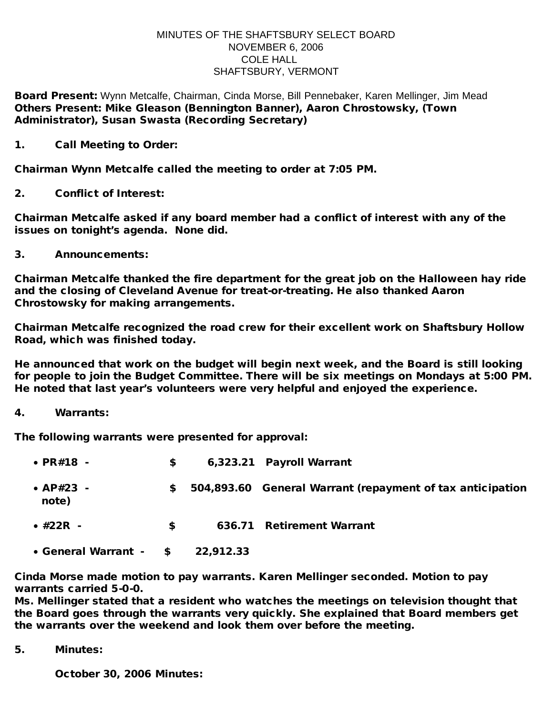## MINUTES OF THE SHAFTSBURY SELECT BOARD NOVEMBER 6, 2006 COLE HALL SHAFTSBURY, VERMONT

Board Present: Wynn Metcalfe, Chairman, Cinda Morse, Bill Pennebaker, Karen Mellinger, Jim Mead Others Present: Mike Gleason (Bennington Banner), Aaron Chrostowsky, (Town Administrator), Susan Swasta (Recording Secretary)

1. Call Meeting to Order:

Chairman Wynn Metcalfe called the meeting to order at 7:05 PM.

2. Conflict of Interest:

Chairman Metcalfe asked if any board member had a conflict of interest with any of the issues on tonight's agenda. None did.

3. Announcements:

Chairman Metcalfe thanked the fire department for the great job on the Halloween hay ride and the closing of Cleveland Avenue for treat-or-treating. He also thanked Aaron Chrostowsky for making arrangements.

Chairman Metcalfe recognized the road crew for their excellent work on Shaftsbury Hollow Road, which was finished today.

He announced that work on the budget will begin next week, and the Board is still looking for people to join the Budget Committee. There will be six meetings on Mondays at 5:00 PM. He noted that last year's volunteers were very helpful and enjoyed the experience.

4. Warrants:

The following warrants were presented for approval:

| $\cdot$ PR#18 -          | \$ |           | 6,323.21 Payroll Warrant                                  |
|--------------------------|----|-----------|-----------------------------------------------------------|
| • $AP#23 -$<br>note)     | S. |           | 504,893.60 General Warrant (repayment of tax anticipation |
| $\bullet$ #22R $\bullet$ | S. |           | 636.71 Retirement Warrant                                 |
| • General Warrant - \$   |    | 22,912.33 |                                                           |

Cinda Morse made motion to pay warrants. Karen Mellinger seconded. Motion to pay warrants carried 5-0-0.

Ms. Mellinger stated that a resident who watches the meetings on television thought that the Board goes through the warrants very quickly. She explained that Board members get the warrants over the weekend and look them over before the meeting.

5. Minutes:

October 30, 2006 Minutes: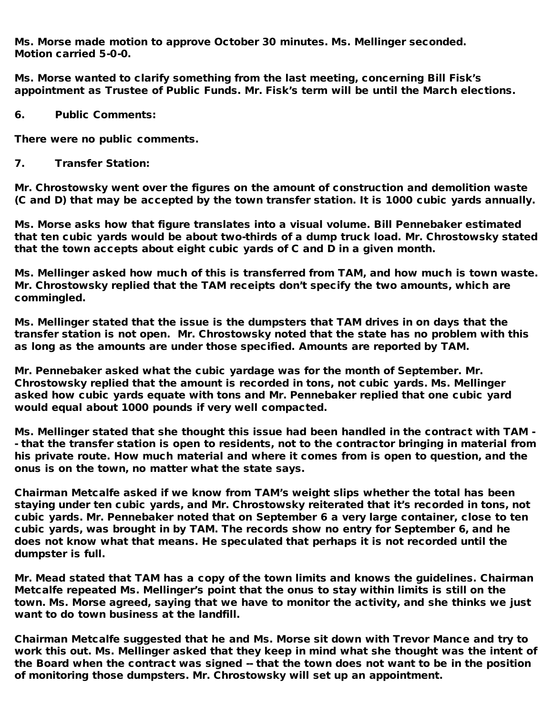Ms. Morse made motion to approve October 30 minutes. Ms. Mellinger seconded. Motion carried 5-0-0.

Ms. Morse wanted to clarify something from the last meeting, concerning Bill Fisk's appointment as Trustee of Public Funds. Mr. Fisk's term will be until the March elections.

6. Public Comments:

There were no public comments.

7. Transfer Station:

Mr. Chrostowsky went over the figures on the amount of construction and demolition waste (C and D) that may be accepted by the town transfer station. It is 1000 cubic yards annually.

Ms. Morse asks how that figure translates into a visual volume. Bill Pennebaker estimated that ten cubic yards would be about two-thirds of a dump truck load. Mr. Chrostowsky stated that the town accepts about eight cubic yards of C and D in a given month.

Ms. Mellinger asked how much of this is transferred from TAM, and how much is town waste. Mr. Chrostowsky replied that the TAM receipts don't specify the two amounts, which are commingled.

Ms. Mellinger stated that the issue is the dumpsters that TAM drives in on days that the transfer station is not open. Mr. Chrostowsky noted that the state has no problem with this as long as the amounts are under those specified. Amounts are reported by TAM.

Mr. Pennebaker asked what the cubic yardage was for the month of September. Mr. Chrostowsky replied that the amount is recorded in tons, not cubic yards. Ms. Mellinger asked how cubic yards equate with tons and Mr. Pennebaker replied that one cubic yard would equal about 1000 pounds if very well compacted.

Ms. Mellinger stated that she thought this issue had been handled in the contract with TAM - - that the transfer station is open to residents, not to the contractor bringing in material from his private route. How much material and where it comes from is open to question, and the onus is on the town, no matter what the state says.

Chairman Metcalfe asked if we know from TAM's weight slips whether the total has been staying under ten cubic yards, and Mr. Chrostowsky reiterated that it's recorded in tons, not cubic yards. Mr. Pennebaker noted that on September 6 a very large container, close to ten cubic yards, was brought in by TAM. The records show no entry for September 6, and he does not know what that means. He speculated that perhaps it is not recorded until the dumpster is full.

Mr. Mead stated that TAM has a copy of the town limits and knows the guidelines. Chairman Metcalfe repeated Ms. Mellinger's point that the onus to stay within limits is still on the town. Ms. Morse agreed, saying that we have to monitor the activity, and she thinks we just want to do town business at the landfill.

Chairman Metcalfe suggested that he and Ms. Morse sit down with Trevor Mance and try to work this out. Ms. Mellinger asked that they keep in mind what she thought was the intent of the Board when the contract was signed -- that the town does not want to be in the position of monitoring those dumpsters. Mr. Chrostowsky will set up an appointment.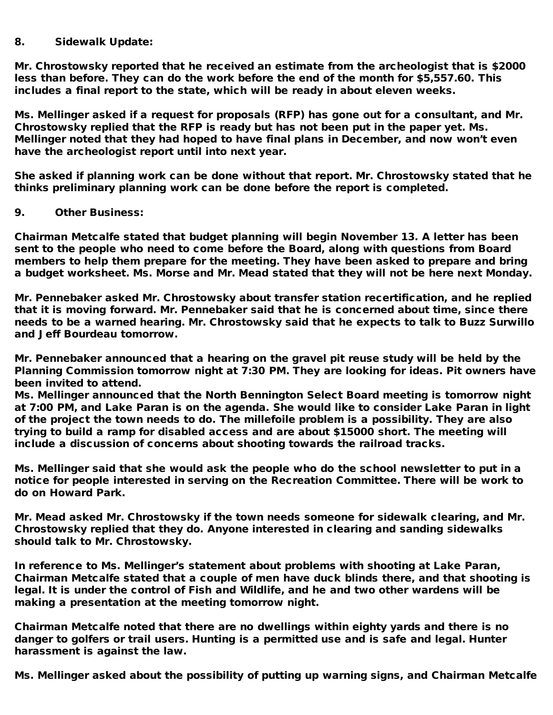## 8. Sidewalk Update:

Mr. Chrostowsky reported that he received an estimate from the archeologist that is \$2000 less than before. They can do the work before the end of the month for \$5,557.60. This includes a final report to the state, which will be ready in about eleven weeks.

Ms. Mellinger asked if a request for proposals (RFP) has gone out for a consultant, and Mr. Chrostowsky replied that the RFP is ready but has not been put in the paper yet. Ms. Mellinger noted that they had hoped to have final plans in December, and now won't even have the archeologist report until into next year.

She asked if planning work can be done without that report. Mr. Chrostowsky stated that he thinks preliminary planning work can be done before the report is completed.

## 9. Other Business:

Chairman Metcalfe stated that budget planning will begin November 13. A letter has been sent to the people who need to come before the Board, along with questions from Board members to help them prepare for the meeting. They have been asked to prepare and bring a budget worksheet. Ms. Morse and Mr. Mead stated that they will not be here next Monday.

Mr. Pennebaker asked Mr. Chrostowsky about transfer station recertification, and he replied that it is moving forward. Mr. Pennebaker said that he is concerned about time, since there needs to be a warned hearing. Mr. Chrostowsky said that he expects to talk to Buzz Surwillo and Jeff Bourdeau tomorrow.

Mr. Pennebaker announced that a hearing on the gravel pit reuse study will be held by the Planning Commission tomorrow night at 7:30 PM. They are looking for ideas. Pit owners have been invited to attend.

Ms. Mellinger announced that the North Bennington Select Board meeting is tomorrow night at 7:00 PM, and Lake Paran is on the agenda. She would like to consider Lake Paran in light of the project the town needs to do. The millefoile problem is a possibility. They are also trying to build a ramp for disabled access and are about \$15000 short. The meeting will include a discussion of concerns about shooting towards the railroad tracks.

Ms. Mellinger said that she would ask the people who do the school newsletter to put in a notice for people interested in serving on the Recreation Committee. There will be work to do on Howard Park.

Mr. Mead asked Mr. Chrostowsky if the town needs someone for sidewalk clearing, and Mr. Chrostowsky replied that they do. Anyone interested in clearing and sanding sidewalks should talk to Mr. Chrostowsky.

In reference to Ms. Mellinger's statement about problems with shooting at Lake Paran, Chairman Metcalfe stated that a couple of men have duck blinds there, and that shooting is legal. It is under the control of Fish and Wildlife, and he and two other wardens will be making a presentation at the meeting tomorrow night.

Chairman Metcalfe noted that there are no dwellings within eighty yards and there is no danger to golfers or trail users. Hunting is a permitted use and is safe and legal. Hunter harassment is against the law.

Ms. Mellinger asked about the possibility of putting up warning signs, and Chairman Metcalfe